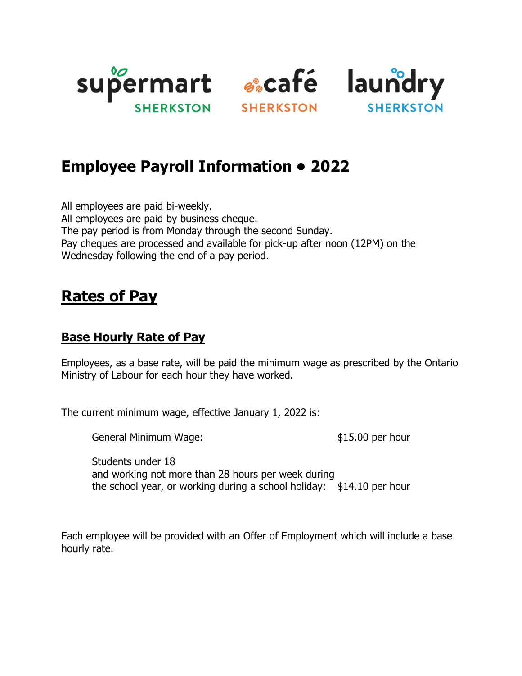



## **Employee Payroll Information • 2022**

All employees are paid bi-weekly. All employees are paid by business cheque. The pay period is from Monday through the second Sunday. Pay cheques are processed and available for pick-up after noon (12PM) on the Wednesday following the end of a pay period.

## **Rates of Pay**

### **Base Hourly Rate of Pay**

Employees, as a base rate, will be paid the minimum wage as prescribed by the Ontario Ministry of Labour for each hour they have worked.

The current minimum wage, effective January 1, 2022 is:

General Minimum Wage:  $$15.00$  per hour

Students under 18 and working not more than 28 hours per week during the school year, or working during a school holiday: \$14.10 per hour

Each employee will be provided with an Offer of Employment which will include a base hourly rate.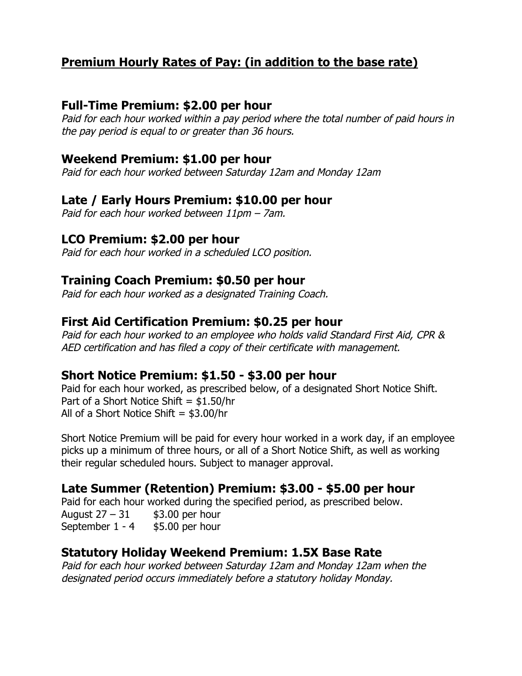## **Premium Hourly Rates of Pay: (in addition to the base rate)**

#### **Full-Time Premium: \$2.00 per hour**

Paid for each hour worked within a pay period where the total number of paid hours in the pay period is equal to or greater than 36 hours.

#### **Weekend Premium: \$1.00 per hour**

Paid for each hour worked between Saturday 12am and Monday 12am

#### **Late / Early Hours Premium: \$10.00 per hour**

Paid for each hour worked between 11pm – 7am.

#### **LCO Premium: \$2.00 per hour**

Paid for each hour worked in a scheduled LCO position.

#### **Training Coach Premium: \$0.50 per hour**

Paid for each hour worked as a designated Training Coach.

#### **First Aid Certification Premium: \$0.25 per hour**

Paid for each hour worked to an employee who holds valid Standard First Aid, CPR & AED certification and has filed a copy of their certificate with management.

#### **Short Notice Premium: \$1.50 - \$3.00 per hour**

Paid for each hour worked, as prescribed below, of a designated Short Notice Shift. Part of a Short Notice Shift =  $$1.50/hr$ All of a Short Notice Shift  $=$  \$3.00/hr

Short Notice Premium will be paid for every hour worked in a work day, if an employee picks up a minimum of three hours, or all of a Short Notice Shift, as well as working their regular scheduled hours. Subject to manager approval.

## **Late Summer (Retention) Premium: \$3.00 - \$5.00 per hour**

Paid for each hour worked during the specified period, as prescribed below. August  $27 - 31$  \$3.00 per hour September 1 - 4 \$5.00 per hour

#### **Statutory Holiday Weekend Premium: 1.5X Base Rate**

Paid for each hour worked between Saturday 12am and Monday 12am when the designated period occurs immediately before a statutory holiday Monday.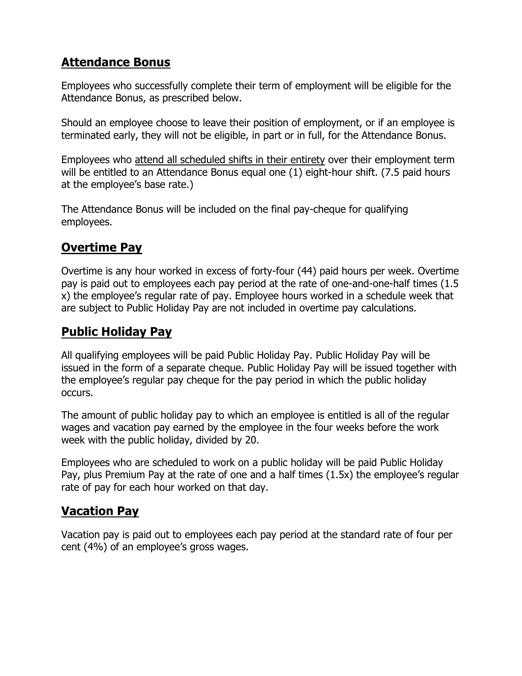## **Attendance Bonus**

Employees who successfully complete their term of employment will be eligible for the Attendance Bonus, as prescribed below.

Should an employee choose to leave their position of employment, or if an employee is terminated early, they will not be eligible, in part or in full, for the Attendance Bonus.

Employees who attend all scheduled shifts in their entirety over their employment term will be entitled to an Attendance Bonus equal one (1) eight-hour shift. (7.5 paid hours at the employee's base rate.)

The Attendance Bonus will be included on the final pay-cheque for qualifying employees.

## **Overtime Pay**

Overtime is any hour worked in excess of forty-four (44) paid hours per week. Overtime pay is paid out to employees each pay period at the rate of one-and-one-half times (1.5 x) the employee's regular rate of pay. Employee hours worked in a schedule week that are subject to Public Holiday Pay are not included in overtime pay calculations.

## **Public Holiday Pay**

All qualifying employees will be paid Public Holiday Pay. Public Holiday Pay will be issued in the form of a separate cheque. Public Holiday Pay will be issued together with the employee's regular pay cheque for the pay period in which the public holiday occurs.

The amount of public holiday pay to which an employee is entitled is all of the regular wages and vacation pay earned by the employee in the four weeks before the work week with the public holiday, divided by 20.

Employees who are scheduled to work on a public holiday will be paid Public Holiday Pay, plus Premium Pay at the rate of one and a half times (1.5x) the employee's regular rate of pay for each hour worked on that day.

## **Vacation Pay**

Vacation pay is paid out to employees each pay period at the standard rate of four per cent (4%) of an employee's gross wages.